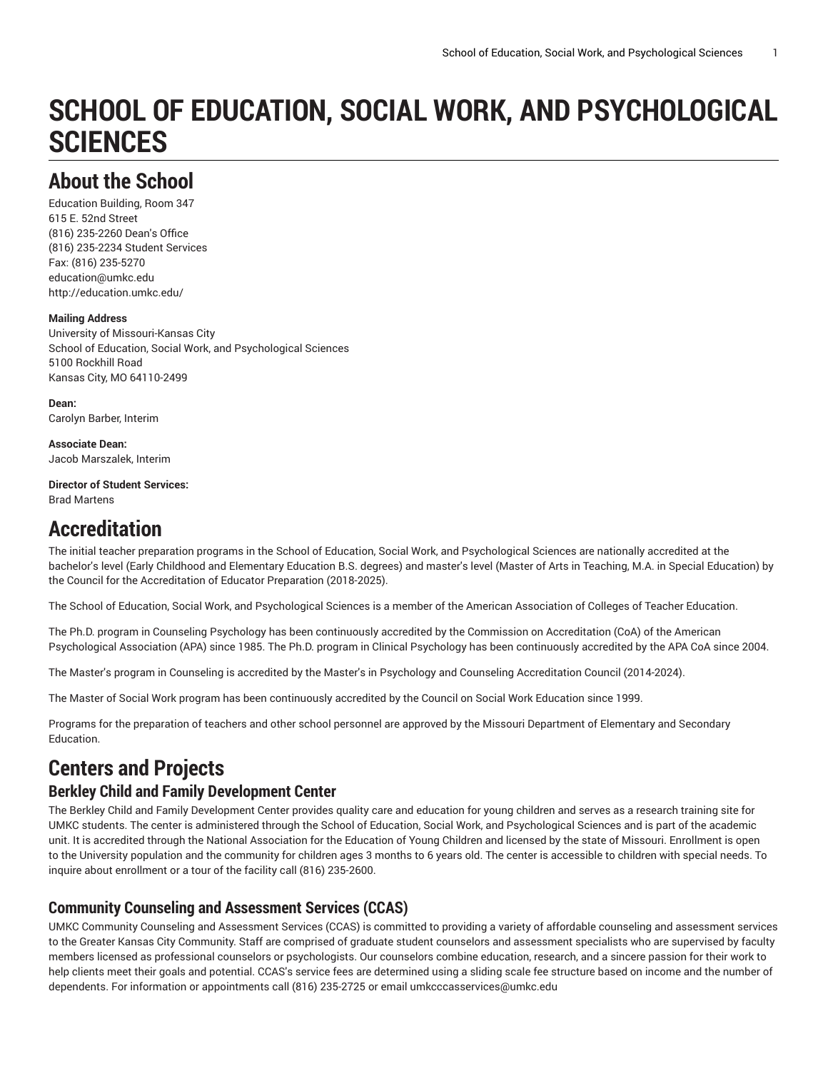# **SCHOOL OF EDUCATION, SOCIAL WORK, AND PSYCHOLOGICAL SCIENCES**

# **About the School**

Education Building, Room 347 615 E. 52nd Street (816) 235-2260 Dean's Office (816) 235-2234 Student Services Fax: (816) 235-5270 [education@umkc.edu](mailto:education@umkc.edu) <http://education.umkc.edu/>

#### **Mailing Address**

University of Missouri-Kansas City School of Education, Social Work, and Psychological Sciences 5100 Rockhill Road Kansas City, MO 64110-2499

**Dean:** Carolyn Barber, Interim

**Associate Dean:** Jacob Marszalek, Interim

**Director of Student Services:** Brad Martens

## **Accreditation**

The initial teacher preparation programs in the School of Education, Social Work, and Psychological Sciences are nationally accredited at the bachelor's level (Early Childhood and Elementary Education B.S. degrees) and master's level (Master of Arts in Teaching, M.A. in Special Education) by the Council for the Accreditation of Educator Preparation (2018-2025).

The School of Education, Social Work, and Psychological Sciences is a member of the American Association of Colleges of Teacher Education.

The Ph.D. program in Counseling Psychology has been continuously accredited by the Commission on Accreditation (CoA) of the American Psychological Association (APA) since 1985. The Ph.D. program in Clinical Psychology has been continuously accredited by the APA CoA since 2004.

The Master's program in Counseling is accredited by the Master's in Psychology and Counseling Accreditation Council (2014-2024).

The Master of Social Work program has been continuously accredited by the Council on Social Work Education since 1999.

Programs for the preparation of teachers and other school personnel are approved by the Missouri Department of Elementary and Secondary Education.

# **Centers and Projects**

### **Berkley Child and Family Development Center**

The Berkley Child and Family Development Center provides quality care and education for young children and serves as a research training site for UMKC students. The center is administered through the School of Education, Social Work, and Psychological Sciences and is part of the academic unit. It is accredited through the National Association for the Education of Young Children and licensed by the state of Missouri. Enrollment is open to the University population and the community for children ages 3 months to 6 years old. The center is accessible to children with special needs. To inquire about enrollment or a tour of the facility call (816) 235-2600.

### **Community Counseling and Assessment Services (CCAS)**

UMKC Community Counseling and Assessment Services (CCAS) is committed to providing a variety of affordable counseling and assessment services to the Greater Kansas City Community. Staff are comprised of graduate student counselors and assessment specialists who are supervised by faculty members licensed as professional counselors or psychologists. Our counselors combine education, research, and a sincere passion for their work to help clients meet their goals and potential. CCAS's service fees are determined using a sliding scale fee structure based on income and the number of dependents. For information or appointments call (816) 235-2725 or email [umkcccasservices@umkc.edu](mailto: umkcccasservices@umkc.edu)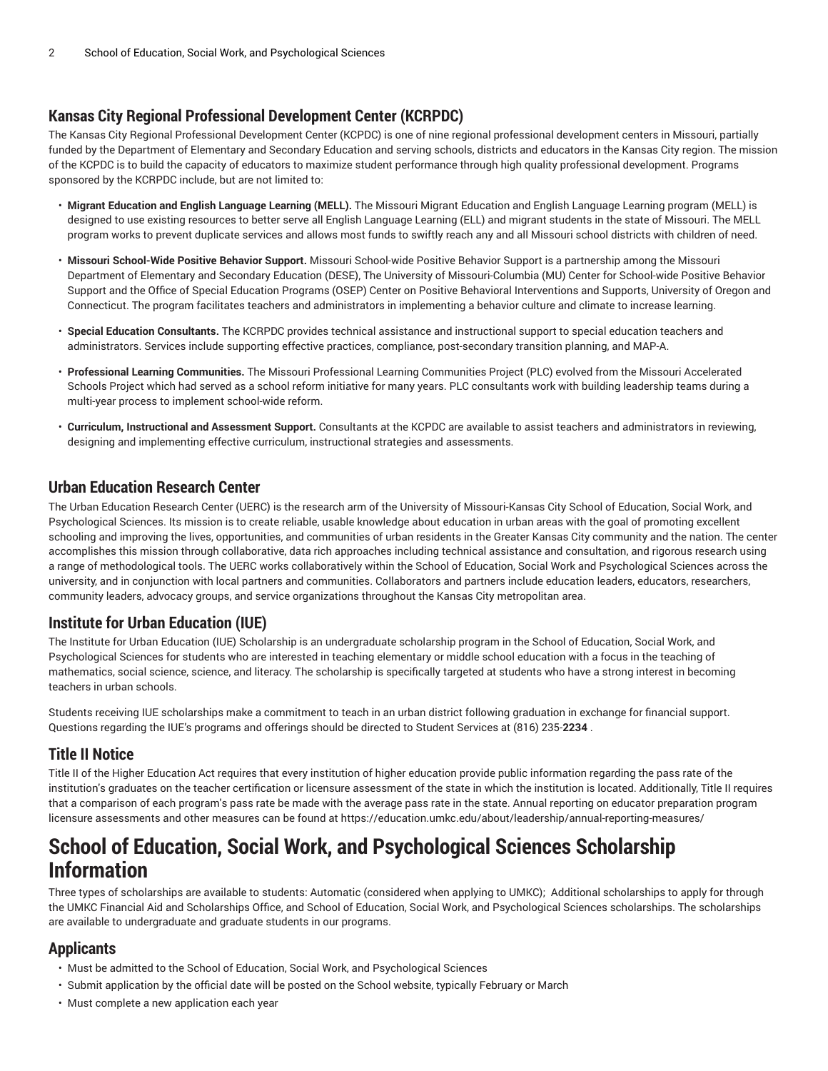### **Kansas City Regional Professional Development Center (KCRPDC)**

The Kansas City Regional Professional Development Center (KCPDC) is one of nine regional professional development centers in Missouri, partially funded by the Department of Elementary and Secondary Education and serving schools, districts and educators in the Kansas City region. The mission of the KCPDC is to build the capacity of educators to maximize student performance through high quality professional development. Programs sponsored by the KCRPDC include, but are not limited to:

- **Migrant Education and English Language Learning (MELL).** The Missouri Migrant Education and English Language Learning program (MELL) is designed to use existing resources to better serve all English Language Learning (ELL) and migrant students in the state of Missouri. The MELL program works to prevent duplicate services and allows most funds to swiftly reach any and all Missouri school districts with children of need.
- **Missouri School-Wide Positive Behavior Support.** Missouri School-wide Positive Behavior Support is a partnership among the Missouri Department of Elementary and Secondary Education (DESE), The University of Missouri-Columbia (MU) Center for School-wide Positive Behavior Support and the Office of Special Education Programs (OSEP) Center on Positive Behavioral Interventions and Supports, University of Oregon and Connecticut. The program facilitates teachers and administrators in implementing a behavior culture and climate to increase learning.
- **Special Education Consultants.** The KCRPDC provides technical assistance and instructional support to special education teachers and administrators. Services include supporting effective practices, compliance, post-secondary transition planning, and MAP-A.
- **Professional Learning Communities.** The Missouri Professional Learning Communities Project (PLC) evolved from the Missouri Accelerated Schools Project which had served as a school reform initiative for many years. PLC consultants work with building leadership teams during a multi-year process to implement school-wide reform.
- **Curriculum, Instructional and Assessment Support.** Consultants at the KCPDC are available to assist teachers and administrators in reviewing, designing and implementing effective curriculum, instructional strategies and assessments.

#### **Urban Education Research Center**

The Urban Education Research Center (UERC) is the research arm of the University of Missouri-Kansas City School of Education, Social Work, and Psychological Sciences. Its mission is to create reliable, usable knowledge about education in urban areas with the goal of promoting excellent schooling and improving the lives, opportunities, and communities of urban residents in the Greater Kansas City community and the nation. The center accomplishes this mission through collaborative, data rich approaches including technical assistance and consultation, and rigorous research using a range of methodological tools. The UERC works collaboratively within the School of Education, Social Work and Psychological Sciences across the university, and in conjunction with local partners and communities. Collaborators and partners include education leaders, educators, researchers, community leaders, advocacy groups, and service organizations throughout the Kansas City metropolitan area.

### **Institute for Urban Education (IUE)**

The Institute for Urban Education (IUE) Scholarship is an undergraduate scholarship program in the School of Education, Social Work, and Psychological Sciences for students who are interested in teaching elementary or middle school education with a focus in the teaching of mathematics, social science, science, and literacy. The scholarship is specifically targeted at students who have a strong interest in becoming teachers in urban schools.

Students receiving IUE scholarships make a commitment to teach in an urban district following graduation in exchange for financial support. Questions regarding the IUE's programs and offerings should be directed to Student Services at (816) 235-**2234** .

### **Title II Notice**

Title II of the Higher Education Act requires that every institution of higher education provide public information regarding the pass rate of the institution's graduates on the teacher certification or licensure assessment of the state in which the institution is located. Additionally, Title II requires that a comparison of each program's pass rate be made with the average pass rate in the state. Annual reporting on educator preparation program licensure assessments and other measures can be found at <https://education.umkc.edu/about/leadership/annual-reporting-measures/>

# **School of Education, Social Work, and Psychological Sciences Scholarship Information**

Three types of scholarships are available to students: Automatic (considered when applying to UMKC); Additional scholarships to apply for through the UMKC Financial Aid and Scholarships Office, and School of Education, Social Work, and Psychological Sciences scholarships. The scholarships are available to undergraduate and graduate students in our programs.

### **Applicants**

- Must be admitted to the School of Education, Social Work, and Psychological Sciences
- Submit application by the official date will be posted on the School website, typically February or March
- Must complete a new application each year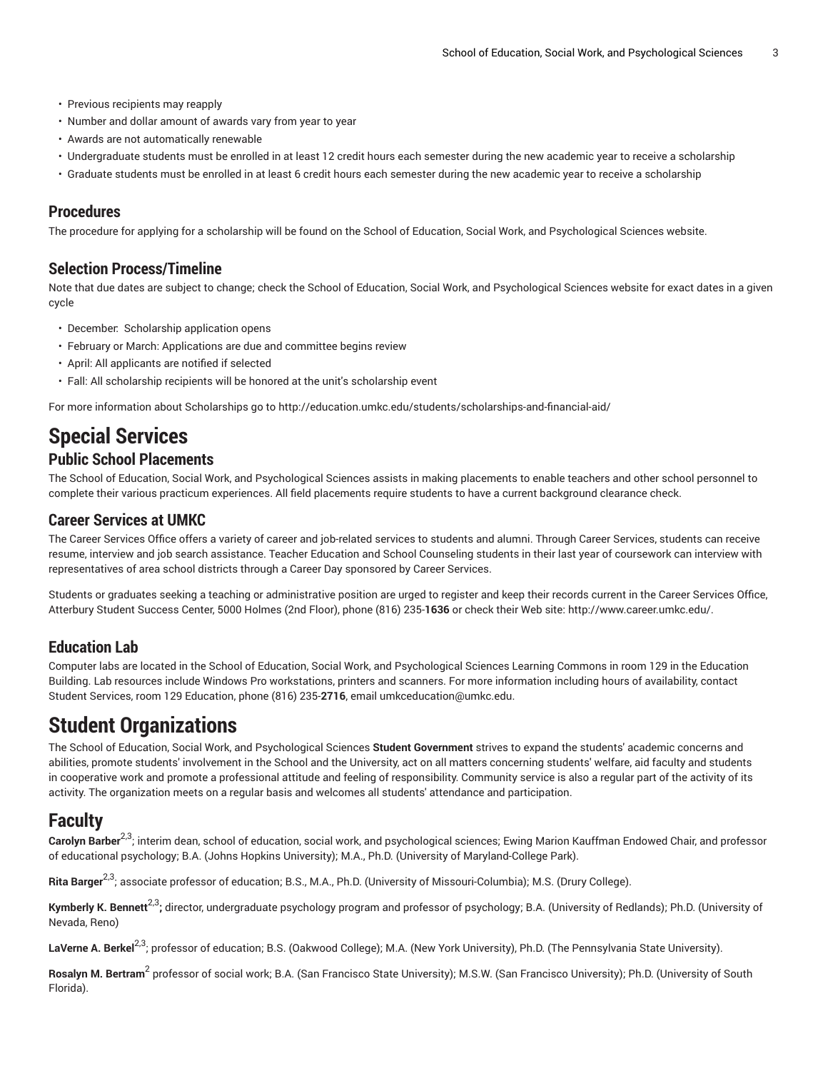- Previous recipients may reapply
- Number and dollar amount of awards vary from year to year
- Awards are not automatically renewable
- Undergraduate students must be enrolled in at least 12 credit hours each semester during the new academic year to receive a scholarship
- Graduate students must be enrolled in at least 6 credit hours each semester during the new academic year to receive a scholarship

#### **Procedures**

The procedure for applying for a scholarship will be found on the School of Education, Social Work, and Psychological Sciences website.

#### **Selection Process/Timeline**

Note that due dates are subject to change; check the School of Education, Social Work, and Psychological Sciences website for exact dates in a given cycle

- December: Scholarship application opens
- February or March: Applications are due and committee begins review
- April: All applicants are notified if selected
- Fall: All scholarship recipients will be honored at the unit's scholarship event

For more information about Scholarships go to <http://education.umkc.edu/students/scholarships-and-financial-aid/>

# **Special Services**

#### **Public School Placements**

The School of Education, Social Work, and Psychological Sciences assists in making placements to enable teachers and other school personnel to complete their various practicum experiences. All field placements require students to have a current background clearance check.

#### **Career Services at UMKC**

The Career Services Office offers a variety of career and job-related services to students and alumni. Through Career Services, students can receive resume, interview and job search assistance. Teacher Education and School Counseling students in their last year of coursework can interview with representatives of area school districts through a Career Day sponsored by Career Services.

Students or graduates seeking a teaching or administrative position are urged to register and keep their records current in the Career Services Office, Atterbury Student Success Center, 5000 Holmes (2nd Floor), phone (816) 235-**1636** or check their Web site: [http://www.career.umkc.edu/.](http://www.career.umkc.edu/)

#### **Education Lab**

Computer labs are located in the School of Education, Social Work, and Psychological Sciences Learning Commons in room 129 in the Education Building. Lab resources include Windows Pro workstations, printers and scanners. For more information including hours of availability, contact Student Services, room 129 Education, phone (816) 235-**2716**, email [umkceducation@umkc.edu.](mailto: umkceducation@umkc.edu)

# **Student Organizations**

The School of Education, Social Work, and Psychological Sciences **Student Government** strives to expand the students' academic concerns and abilities, promote students' involvement in the School and the University, act on all matters concerning students' welfare, aid faculty and students in cooperative work and promote a professional attitude and feeling of responsibility. Community service is also a regular part of the activity of its activity. The organization meets on a regular basis and welcomes all students' attendance and participation.

### **Faculty**

**Carolyn Barber**2,3; interim dean, school of education, social work, and psychological sciences; Ewing Marion Kauffman Endowed Chair, and professor of educational psychology; B.A. (Johns Hopkins University); M.A., Ph.D. (University of Maryland-College Park).

**Rita Barger<sup>2,3</sup>;** associate professor of education; B.S., M.A., Ph.D. (University of Missouri-Columbia); M.S. (Drury College).

**Kymberly K. Bennett** 2,3**;** director, undergraduate psychology program and professor of psychology; B.A. (University of Redlands); Ph.D. (University of Nevada, Reno)

**LaVerne A. Berkel** 2,3; professor of education; B.S. (Oakwood College); M.A. (New York University), Ph.D. (The Pennsylvania State University).

**Rosalyn M. Bertram** 2 professor of social work; B.A. (San Francisco State University); M.S.W. (San Francisco University); Ph.D. (University of South Florida).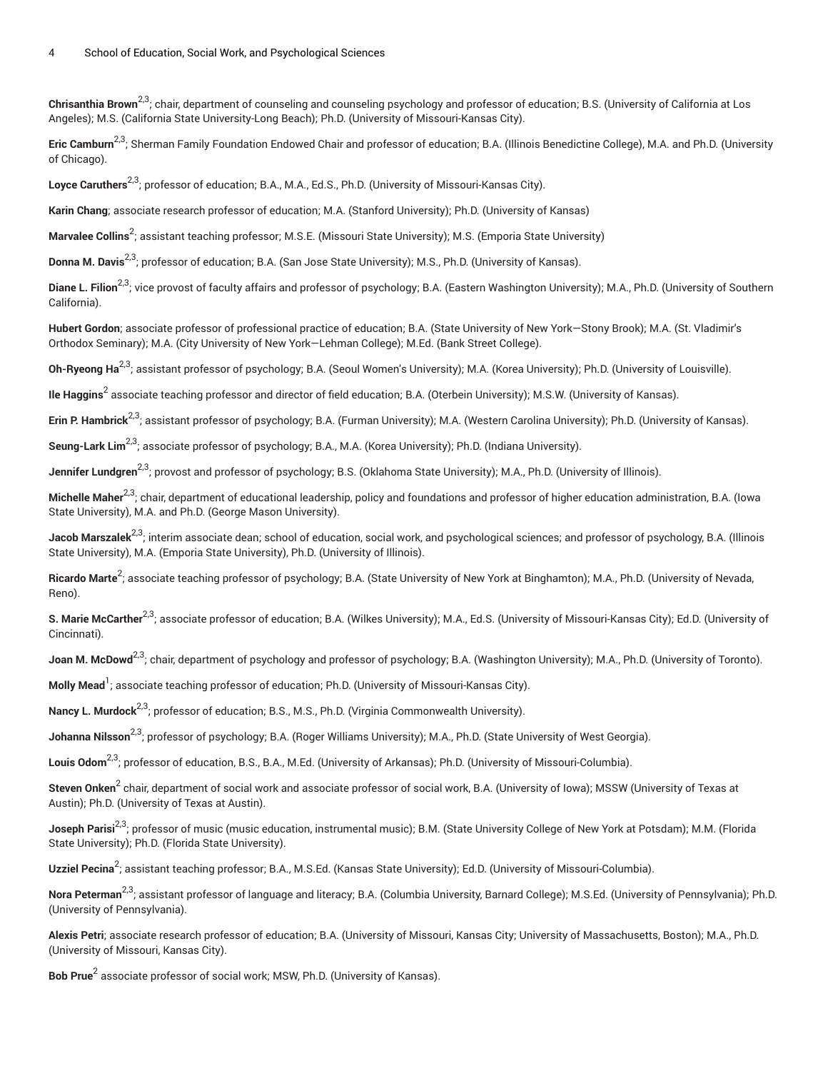**Chrisanthia Brown**<sup>2,3</sup>; chair, department of counseling and counseling psychology and professor of education; B.S. (University of California at Los Angeles); M.S. (California State University-Long Beach); Ph.D. (University of Missouri-Kansas City).

**Eric Camburn**2,3; Sherman Family Foundation Endowed Chair and professor of education; B.A. (Illinois Benedictine College), M.A. and Ph.D. (University of Chicago).

**Loyce Caruthers** 2,3; professor of education; B.A., M.A., Ed.S., Ph.D. (University of Missouri-Kansas City).

**Karin Chang**; associate research professor of education; M.A. (Stanford University); Ph.D. (University of Kansas)

**Marvalee Collins** 2 ; assistant teaching professor; M.S.E. (Missouri State University); M.S. (Emporia State University)

**Donna M. Davis** 2,3; professor of education; B.A. (San Jose State University); M.S., Ph.D. (University of Kansas).

**Diane L. Filion**2,3; vice provost of faculty affairs and professor of psychology; B.A. (Eastern Washington University); M.A., Ph.D. (University of Southern California).

**Hubert Gordon**; associate professor of professional practice of education; B.A. (State University of New York—Stony Brook); M.A. (St. Vladimir's Orthodox Seminary); M.A. (City University of New York—Lehman College); M.Ed. (Bank Street College).

**Oh-Ryeong Ha** 2,3; assistant professor of psychology; B.A. (Seoul Women's University); M.A. (Korea University); Ph.D. (University of Louisville).

**Ile Haggins<sup>2</sup> associate teaching professor and director of field education; B.A. (Oterbein University); M.S.W. (University of Kansas).** 

**Erin P. Hambrick** 2,3; assistant professor of psychology; B.A. (Furman University); M.A. (Western Carolina University); Ph.D. (University of Kansas).

Seung-Lark Lim<sup>2,3</sup>; associate professor of psychology; B.A., M.A. (Korea University); Ph.D. (Indiana University).

**Jennifer Lundgren** 2,3; provost and professor of psychology; B.S. (Oklahoma State University); M.A., Ph.D. (University of Illinois).

Michelle Maher<sup>2,3</sup>; chair, department of educational leadership, policy and foundations and professor of higher education administration, B.A. (Iowa State University), M.A. and Ph.D. (George Mason University).

**Jacob Marszalek<sup>2,3</sup>;** interim associate dean; school of education, social work, and psychological sciences; and professor of psychology, B.A. (Illinois State University), M.A. (Emporia State University), Ph.D. (University of Illinois).

**Ricardo Marte** 2 ; associate teaching professor of psychology; B.A. (State University of New York at Binghamton); M.A., Ph.D. (University of Nevada, Reno).

**S. Marie McCarther** 2,3; associate professor of education; B.A. (Wilkes University); M.A., Ed.S. (University of Missouri-Kansas City); Ed.D. (University of Cincinnati).

**Joan M. McDowd**2,3; chair, department of psychology and professor of psychology; B.A. (Washington University); M.A., Ph.D. (University of Toronto).

**Molly Mead<sup>1</sup>; associate teaching professor of education; Ph.D. (University of Missouri-Kansas City).** 

**Nancy L. Murdock**<sup>2,3</sup>; professor of education; B.S., M.S., Ph.D. (Virginia Commonwealth University).

**Johanna Nilsson<sup>2,3</sup>;** professor of psychology; B.A. (Roger Williams University); M.A., Ph.D. (State University of West Georgia).

**Louis Odom**2,3; professor of education, B.S., B.A., M.Ed. (University of Arkansas); Ph.D. (University of Missouri-Columbia).

**Steven Onken** 2 chair, department of social work and associate professor of social work, B.A. (University of Iowa); MSSW (University of Texas at Austin); Ph.D. (University of Texas at Austin).

**Joseph Parisi<sup>2,3</sup>;** professor of music (music education, instrumental music); B.M. (State University College of New York at Potsdam); M.M. (Florida State University); Ph.D. (Florida State University).

**Uzziel Pecina<sup>2</sup>;** assistant teaching professor; B.A., M.S.Ed. (Kansas State University); Ed.D. (University of Missouri-Columbia).

**Nora Peterman** 2,3; assistant professor of language and literacy; B.A. (Columbia University, Barnard College); M.S.Ed. (University of Pennsylvania); Ph.D. (University of Pennsylvania).

**Alexis Petri**; associate research professor of education; B.A. (University of Missouri, Kansas City; University of Massachusetts, Boston); M.A., Ph.D. (University of Missouri, Kansas City).

**Bob Prue**<sup>2</sup> associate professor of social work; MSW, Ph.D. (University of Kansas).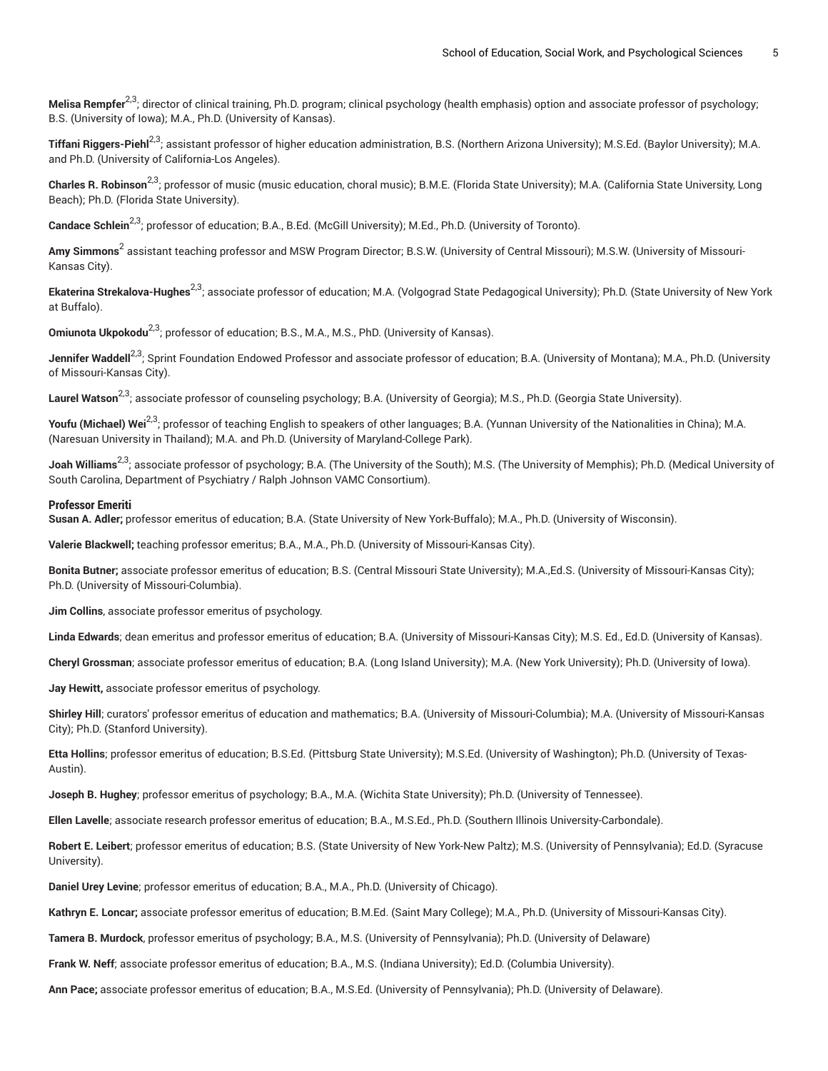**Melisa Rempfer<sup>2,3</sup>;** director of clinical training, Ph.D. program; clinical psychology (health emphasis) option and associate professor of psychology; B.S. (University of Iowa); M.A., Ph.D. (University of Kansas).

**Tiffani Riggers-Piehl**2,3; assistant professor of higher education administration, B.S. (Northern Arizona University); M.S.Ed. (Baylor University); M.A. and Ph.D. (University of California-Los Angeles).

**Charles R. Robinson**2,3; professor of music (music education, choral music); B.M.E. (Florida State University); M.A. (California State University, Long Beach); Ph.D. (Florida State University).

**Candace Schlein<sup>2,3</sup>;** professor of education; B.A., B.Ed. (McGill University); M.Ed., Ph.D. (University of Toronto).

**Amy Simmons<sup>2</sup> assistant teaching professor and MSW Program Director; B.S.W. (University of Central Missouri); M.S.W. (University of Missouri-**Kansas City).

**Ekaterina Strekalova-Hughes** 2,3; associate professor of education; M.A. (Volgograd State Pedagogical University); Ph.D. (State University of New York at Buffalo).

**Omiunota Ukpokodu<sup>2,3</sup>;** professor of education; B.S., M.A., M.S., PhD. (University of Kansas).

**Jennifer Waddell<sup>2,3</sup>;** Sprint Foundation Endowed Professor and associate professor of education; B.A. (University of Montana); M.A., Ph.D. (University of Missouri-Kansas City).

**Laurel Watson** 2,3; associate professor of counseling psychology; B.A. (University of Georgia); M.S., Ph.D. (Georgia State University).

**Youfu (Michael) Wei** 2,3; professor of teaching English to speakers of other languages; B.A. (Yunnan University of the Nationalities in China); M.A. (Naresuan University in Thailand); M.A. and Ph.D. (University of Maryland-College Park).

**Joah Williams**2,3; associate professor of psychology; B.A. (The University of the South); M.S. (The University of Memphis); Ph.D. (Medical University of South Carolina, Department of Psychiatry / Ralph Johnson VAMC Consortium).

#### **Professor Emeriti**

**Susan A. Adler;** professor emeritus of education; B.A. (State University of New York-Buffalo); M.A., Ph.D. (University of Wisconsin).

**Valerie Blackwell;** teaching professor emeritus; B.A., M.A., Ph.D. (University of Missouri-Kansas City).

**Bonita Butner;** associate professor emeritus of education; B.S. (Central Missouri State University); M.A.,Ed.S. (University of Missouri-Kansas City); Ph.D. (University of Missouri-Columbia).

**Jim Collins**, associate professor emeritus of psychology.

**Linda Edwards**; dean emeritus and professor emeritus of education; B.A. (University of Missouri-Kansas City); M.S. Ed., Ed.D. (University of Kansas).

**Cheryl Grossman**; associate professor emeritus of education; B.A. (Long Island University); M.A. (New York University); Ph.D. (University of Iowa).

**Jay Hewitt,** associate professor emeritus of psychology.

**Shirley Hill**; curators' professor emeritus of education and mathematics; B.A. (University of Missouri-Columbia); M.A. (University of Missouri-Kansas City); Ph.D. (Stanford University).

**Etta Hollins**; professor emeritus of education; B.S.Ed. (Pittsburg State University); M.S.Ed. (University of Washington); Ph.D. (University of Texas-Austin).

**Joseph B. Hughey**; professor emeritus of psychology; B.A., M.A. (Wichita State University); Ph.D. (University of Tennessee).

**Ellen Lavelle**; associate research professor emeritus of education; B.A., M.S.Ed., Ph.D. (Southern Illinois University-Carbondale).

**Robert E. Leibert**; professor emeritus of education; B.S. (State University of New York-New Paltz); M.S. (University of Pennsylvania); Ed.D. (Syracuse University).

**Daniel Urey Levine**; professor emeritus of education; B.A., M.A., Ph.D. (University of Chicago).

**Kathryn E. Loncar;** associate professor emeritus of education; B.M.Ed. (Saint Mary College); M.A., Ph.D. (University of Missouri-Kansas City).

**Tamera B. Murdock**, professor emeritus of psychology; B.A., M.S. (University of Pennsylvania); Ph.D. (University of Delaware)

**Frank W. Neff**; associate professor emeritus of education; B.A., M.S. (Indiana University); Ed.D. (Columbia University).

**Ann Pace;** associate professor emeritus of education; B.A., M.S.Ed. (University of Pennsylvania); Ph.D. (University of Delaware).